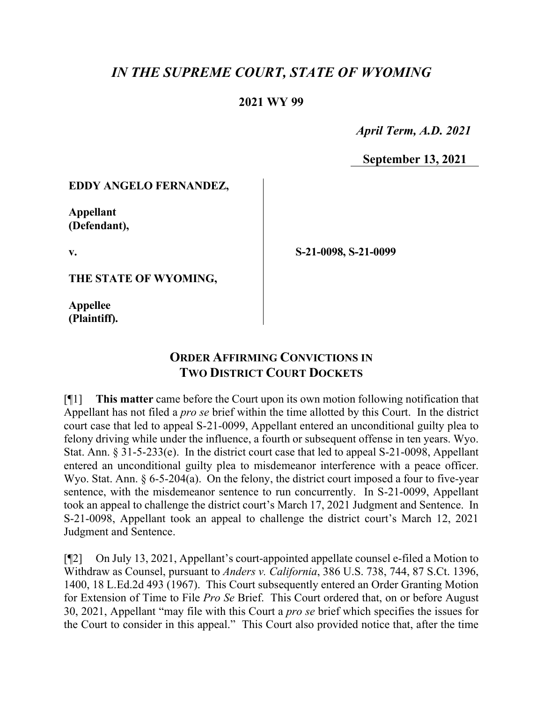# *IN THE SUPREME COURT, STATE OF WYOMING*

## **2021 WY 99**

 *April Term, A.D. 2021*

**September 13, 2021**

#### **EDDY ANGELO FERNANDEZ,**

**Appellant (Defendant),**

**v.**

**THE STATE OF WYOMING,**

**Appellee (Plaintiff).**  **S-21-0098, S-21-0099**

# **ORDER AFFIRMING CONVICTIONS IN TWO DISTRICT COURT DOCKETS**

[¶1] **This matter** came before the Court upon its own motion following notification that Appellant has not filed a *pro se* brief within the time allotted by this Court. In the district court case that led to appeal S-21-0099, Appellant entered an unconditional guilty plea to felony driving while under the influence, a fourth or subsequent offense in ten years. Wyo. Stat. Ann. § 31-5-233(e). In the district court case that led to appeal S-21-0098, Appellant entered an unconditional guilty plea to misdemeanor interference with a peace officer. Wyo. Stat. Ann. § 6-5-204(a). On the felony, the district court imposed a four to five-year sentence, with the misdemeanor sentence to run concurrently. In S-21-0099, Appellant took an appeal to challenge the district court's March 17, 2021 Judgment and Sentence. In S-21-0098, Appellant took an appeal to challenge the district court's March 12, 2021 Judgment and Sentence.

[¶2] On July 13, 2021, Appellant's court-appointed appellate counsel e-filed a Motion to Withdraw as Counsel, pursuant to *Anders v. California*, 386 U.S. 738, 744, 87 S.Ct. 1396, 1400, 18 L.Ed.2d 493 (1967). This Court subsequently entered an Order Granting Motion for Extension of Time to File *Pro Se* Brief. This Court ordered that, on or before August 30, 2021, Appellant "may file with this Court a *pro se* brief which specifies the issues for the Court to consider in this appeal." This Court also provided notice that, after the time